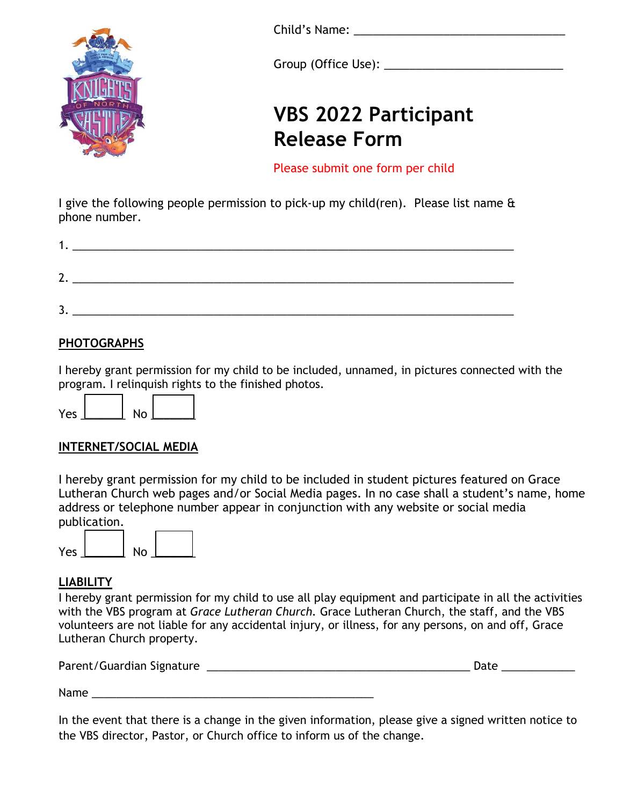

Child's Name: <u>and the same</u> of the same of the same of the same of the same of the same of the same of the same of the same of the same of the same of the same of the same of the same of the same of the same of the same o

Group (Office Use): \_\_\_\_\_\_\_\_\_\_\_\_\_\_\_\_\_\_\_\_\_\_\_\_\_\_\_\_

## **VBS 2022 Participant Release Form**

Please submit one form per child

I give the following people permission to pick-up my child(ren). Please list name & phone number.

| n |  |  |
|---|--|--|
| ◠ |  |  |
| - |  |  |

#### **PHOTOGRAPHS**

I hereby grant permission for my child to be included, unnamed, in pictures connected with the program. I relinquish rights to the finished photos.

| ⁄ρς | N٥ |  |
|-----|----|--|
|     |    |  |

#### **INTERNET/SOCIAL MEDIA**

I hereby grant permission for my child to be included in student pictures featured on Grace Lutheran Church web pages and/or Social Media pages. In no case shall a student's name, home address or telephone number appear in conjunction with any website or social media publication.



#### **LIABILITY**

I hereby grant permission for my child to use all play equipment and participate in all the activities with the VBS program at *Grace Lutheran Church.* Grace Lutheran Church, the staff, and the VBS volunteers are not liable for any accidental injury, or illness, for any persons, on and off, Grace Lutheran Church property.

| Parent/Guardian Signature | Date |
|---------------------------|------|
|                           |      |

Name

In the event that there is a change in the given information, please give a signed written notice to the VBS director, Pastor, or Church office to inform us of the change.